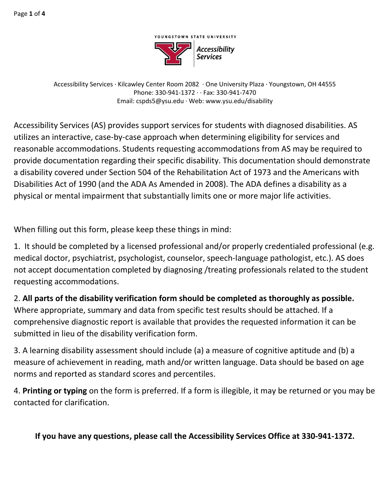

Accessibility Services · Kilcawley Center Room 2082 · One University Plaza · Youngstown, OH 44555 Phone: 330-941-1372 · · Fax: 330-941-7470 Email: cspds5@ysu.edu · Web: www.ysu.edu/disability

Accessibility Services (AS) provides support services for students with diagnosed disabilities. AS utilizes an interactive, case-by-case approach when determining eligibility for services and reasonable accommodations. Students requesting accommodations from AS may be required to provide documentation regarding their specific disability. This documentation should demonstrate a disability covered under Section 504 of the Rehabilitation Act of 1973 and the Americans with Disabilities Act of 1990 (and the ADA As Amended in 2008). The ADA defines a disability as a physical or mental impairment that substantially limits one or more major life activities.

When filling out this form, please keep these things in mind:

1. It should be completed by a licensed professional and/or properly credentialed professional (e.g. medical doctor, psychiatrist, psychologist, counselor, speech-language pathologist, etc.). AS does not accept documentation completed by diagnosing /treating professionals related to the student requesting accommodations.

2. **All parts of the disability verification form should be completed as thoroughly as possible.** Where appropriate, summary and data from specific test results should be attached. If a comprehensive diagnostic report is available that provides the requested information it can be submitted in lieu of the disability verification form.

3. A learning disability assessment should include (a) a measure of cognitive aptitude and (b) a measure of achievement in reading, math and/or written language. Data should be based on age norms and reported as standard scores and percentiles.

4. **Printing or typing** on the form is preferred. If a form is illegible, it may be returned or you may be contacted for clarification.

## **If you have any questions, please call the Accessibility Services Office at 330-941-1372.**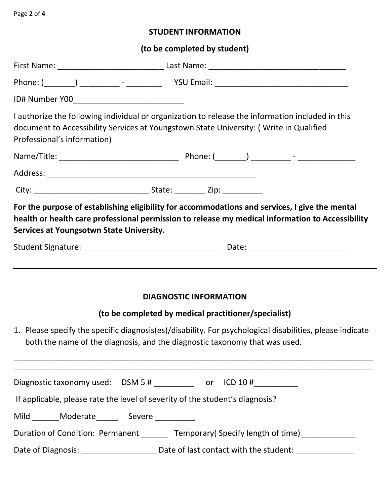## **STUDENT INFORMATION**

## **(to be completed by student)**

| Professional's information)                                                  | I authorize the following individual or organization to release the information included in this<br>document to Accessibility Services at Youngstown State University: (Write in Qualified                                                                                      |
|------------------------------------------------------------------------------|---------------------------------------------------------------------------------------------------------------------------------------------------------------------------------------------------------------------------------------------------------------------------------|
|                                                                              |                                                                                                                                                                                                                                                                                 |
|                                                                              |                                                                                                                                                                                                                                                                                 |
|                                                                              |                                                                                                                                                                                                                                                                                 |
| Services at Youngsotwn State University.                                     | For the purpose of establishing eligibility for accommodations and services, I give the mental<br>health or health care professional permission to release my medical information to Accessibility                                                                              |
|                                                                              |                                                                                                                                                                                                                                                                                 |
|                                                                              | <b>DIAGNOSTIC INFORMATION</b><br>(to be completed by medical practitioner/specialist)<br>1. Please specify the specific diagnosis(es)/disability. For psychological disabilities, please indicate<br>both the name of the diagnosis, and the diagnostic taxonomy that was used. |
|                                                                              |                                                                                                                                                                                                                                                                                 |
|                                                                              | Diagnostic taxonomy used: $DSM 5 #$ ___________ or ICD 10 #__________                                                                                                                                                                                                           |
| If applicable, please rate the level of severity of the student's diagnosis? |                                                                                                                                                                                                                                                                                 |
| Mild _______ Moderate_________ Severe ___________                            |                                                                                                                                                                                                                                                                                 |
|                                                                              | Duration of Condition: Permanent _______ Temporary(Specify length of time) ___________                                                                                                                                                                                          |
|                                                                              |                                                                                                                                                                                                                                                                                 |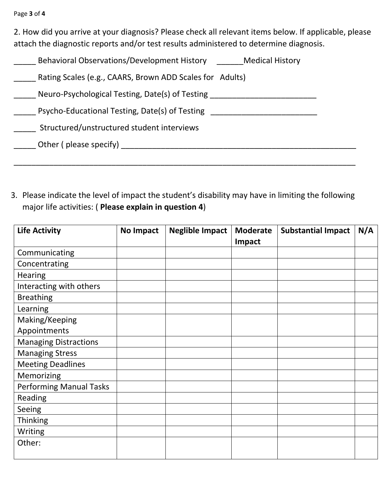2. How did you arrive at your diagnosis? Please check all relevant items below. If applicable, please attach the diagnostic reports and/or test results administered to determine diagnosis.

| Behavioral Observations/Development History              | <b>Medical History</b> |
|----------------------------------------------------------|------------------------|
| Rating Scales (e.g., CAARS, Brown ADD Scales for Adults) |                        |
| Neuro-Psychological Testing, Date(s) of Testing          |                        |
| Psycho-Educational Testing, Date(s) of Testing           |                        |
| Structured/unstructured student interviews               |                        |
| Other (please specify)                                   |                        |
|                                                          |                        |

3. Please indicate the level of impact the student's disability may have in limiting the following major life activities: ( **Please explain in question 4**)

| <b>Life Activity</b>           | <b>No Impact</b> | <b>Neglible Impact</b> | <b>Moderate</b> | <b>Substantial Impact</b> | N/A |
|--------------------------------|------------------|------------------------|-----------------|---------------------------|-----|
|                                |                  |                        | Impact          |                           |     |
| Communicating                  |                  |                        |                 |                           |     |
| Concentrating                  |                  |                        |                 |                           |     |
| <b>Hearing</b>                 |                  |                        |                 |                           |     |
| Interacting with others        |                  |                        |                 |                           |     |
| <b>Breathing</b>               |                  |                        |                 |                           |     |
| Learning                       |                  |                        |                 |                           |     |
| Making/Keeping                 |                  |                        |                 |                           |     |
| Appointments                   |                  |                        |                 |                           |     |
| <b>Managing Distractions</b>   |                  |                        |                 |                           |     |
| <b>Managing Stress</b>         |                  |                        |                 |                           |     |
| <b>Meeting Deadlines</b>       |                  |                        |                 |                           |     |
| Memorizing                     |                  |                        |                 |                           |     |
| <b>Performing Manual Tasks</b> |                  |                        |                 |                           |     |
| Reading                        |                  |                        |                 |                           |     |
| Seeing                         |                  |                        |                 |                           |     |
| <b>Thinking</b>                |                  |                        |                 |                           |     |
| Writing                        |                  |                        |                 |                           |     |
| Other:                         |                  |                        |                 |                           |     |
|                                |                  |                        |                 |                           |     |